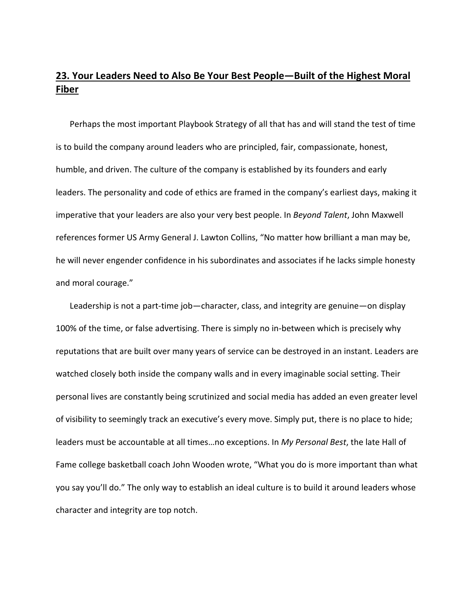## **23. Your Leaders Need to Also Be Your Best People—Built of the Highest Moral Fiber**

Perhaps the most important Playbook Strategy of all that has and will stand the test of time is to build the company around leaders who are principled, fair, compassionate, honest, humble, and driven. The culture of the company is established by its founders and early leaders. The personality and code of ethics are framed in the company's earliest days, making it imperative that your leaders are also your very best people. In *Beyond Talent*, John Maxwell references former US Army General J. Lawton Collins, "No matter how brilliant a man may be, he will never engender confidence in his subordinates and associates if he lacks simple honesty and moral courage."

Leadership is not a part-time job—character, class, and integrity are genuine—on display 100% of the time, or false advertising. There is simply no in-between which is precisely why reputations that are built over many years of service can be destroyed in an instant. Leaders are watched closely both inside the company walls and in every imaginable social setting. Their personal lives are constantly being scrutinized and social media has added an even greater level of visibility to seemingly track an executive's every move. Simply put, there is no place to hide; leaders must be accountable at all times…no exceptions. In *My Personal Best*, the late Hall of Fame college basketball coach John Wooden wrote, "What you do is more important than what you say you'll do." The only way to establish an ideal culture is to build it around leaders whose character and integrity are top notch.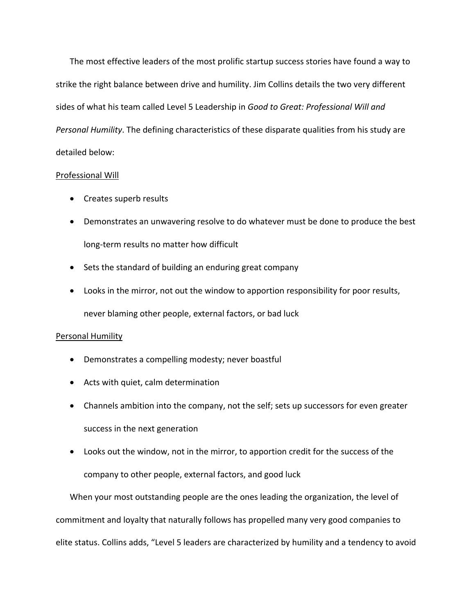The most effective leaders of the most prolific startup success stories have found a way to strike the right balance between drive and humility. Jim Collins details the two very different sides of what his team called Level 5 Leadership in *Good to Great: Professional Will and Personal Humility*. The defining characteristics of these disparate qualities from his study are detailed below:

## Professional Will

- Creates superb results
- Demonstrates an unwavering resolve to do whatever must be done to produce the best long‐term results no matter how difficult
- Sets the standard of building an enduring great company
- Looks in the mirror, not out the window to apportion responsibility for poor results, never blaming other people, external factors, or bad luck

## Personal Humility

- Demonstrates a compelling modesty; never boastful
- Acts with quiet, calm determination
- Channels ambition into the company, not the self; sets up successors for even greater success in the next generation
- Looks out the window, not in the mirror, to apportion credit for the success of the company to other people, external factors, and good luck

When your most outstanding people are the ones leading the organization, the level of commitment and loyalty that naturally follows has propelled many very good companies to elite status. Collins adds, "Level 5 leaders are characterized by humility and a tendency to avoid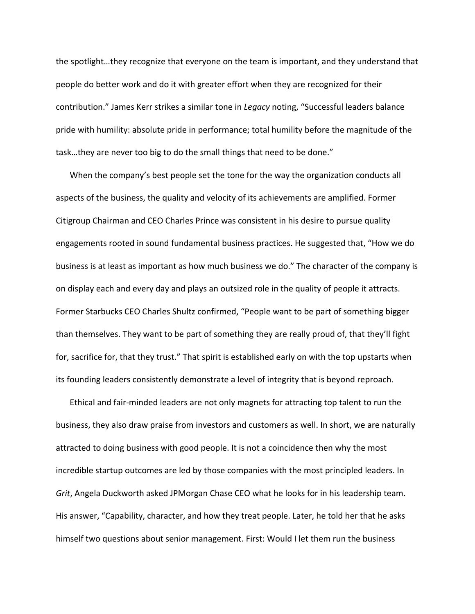the spotlight…they recognize that everyone on the team is important, and they understand that people do better work and do it with greater effort when they are recognized for their contribution." James Kerr strikes a similar tone in *Legacy* noting, "Successful leaders balance pride with humility: absolute pride in performance; total humility before the magnitude of the task…they are never too big to do the small things that need to be done."

When the company's best people set the tone for the way the organization conducts all aspects of the business, the quality and velocity of its achievements are amplified. Former Citigroup Chairman and CEO Charles Prince was consistent in his desire to pursue quality engagements rooted in sound fundamental business practices. He suggested that, "How we do business is at least as important as how much business we do." The character of the company is on display each and every day and plays an outsized role in the quality of people it attracts. Former Starbucks CEO Charles Shultz confirmed, "People want to be part of something bigger than themselves. They want to be part of something they are really proud of, that they'll fight for, sacrifice for, that they trust." That spirit is established early on with the top upstarts when its founding leaders consistently demonstrate a level of integrity that is beyond reproach.

Ethical and fair‐minded leaders are not only magnets for attracting top talent to run the business, they also draw praise from investors and customers as well. In short, we are naturally attracted to doing business with good people. It is not a coincidence then why the most incredible startup outcomes are led by those companies with the most principled leaders. In *Grit*, Angela Duckworth asked JPMorgan Chase CEO what he looks for in his leadership team. His answer, "Capability, character, and how they treat people. Later, he told her that he asks himself two questions about senior management. First: Would I let them run the business